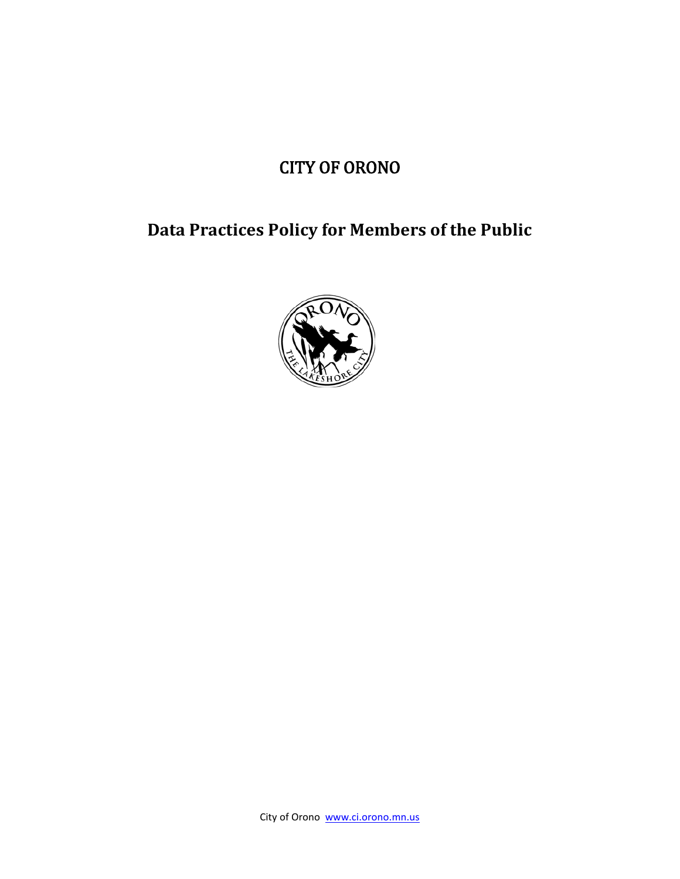# CITY OF ORONO

# **Data Practices Policy for Members of the Public**

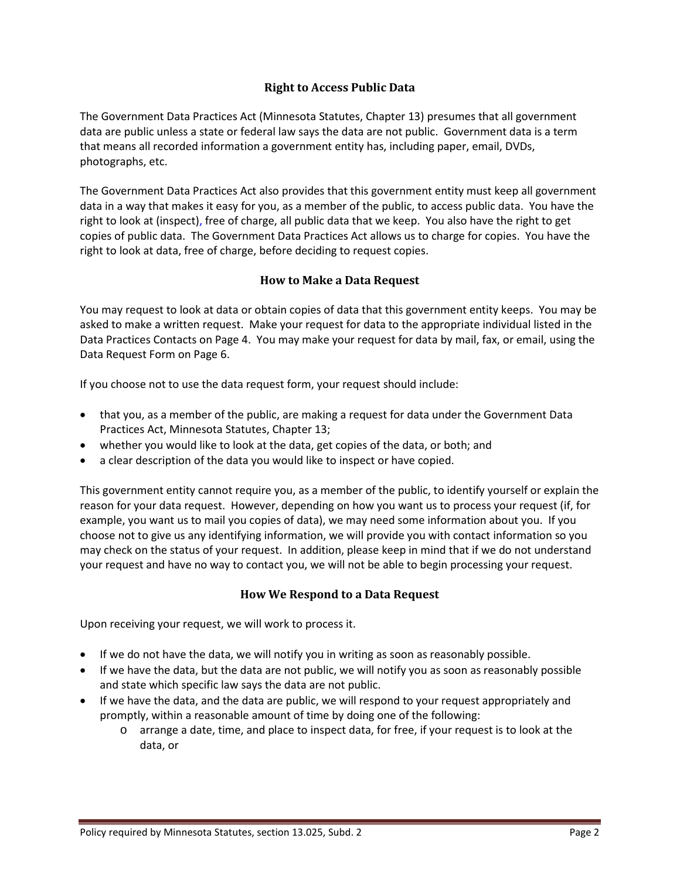## **Right to Access Public Data**

The Government Data Practices Act (Minnesota Statutes, Chapter 13) presumes that all government data are public unless a state or federal law says the data are not public. Government data is a term that means all recorded information a government entity has, including paper, email, DVDs, photographs, etc.

The Government Data Practices Act also provides that this government entity must keep all government data in a way that makes it easy for you, as a member of the public, to access public data. You have the right to look at (inspect), free of charge, all public data that we keep. You also have the right to get copies of public data. The Government Data Practices Act allows us to charge for copies. You have the right to look at data, free of charge, before deciding to request copies.

## **How to Make a Data Request**

You may request to look at data or obtain copies of data that this government entity keeps. You may be asked to make a written request. Make your request for data to the appropriate individual listed in the Data Practices Contacts on Page 4. You may make your request for data by mail, fax, or email, using the Data Request Form on Page 6.

If you choose not to use the data request form, your request should include:

- that you, as a member of the public, are making a request for data under the Government Data Practices Act, Minnesota Statutes, Chapter 13;
- whether you would like to look at the data, get copies of the data, or both; and
- a clear description of the data you would like to inspect or have copied.

This government entity cannot require you, as a member of the public, to identify yourself or explain the reason for your data request. However, depending on how you want us to process your request (if, for example, you want us to mail you copies of data), we may need some information about you. If you choose not to give us any identifying information, we will provide you with contact information so you may check on the status of your request. In addition, please keep in mind that if we do not understand your request and have no way to contact you, we will not be able to begin processing your request.

## **How We Respond to a Data Request**

Upon receiving your request, we will work to process it.

- If we do not have the data, we will notify you in writing as soon as reasonably possible.
- If we have the data, but the data are not public, we will notify you as soon as reasonably possible and state which specific law says the data are not public.
- If we have the data, and the data are public, we will respond to your request appropriately and promptly, within a reasonable amount of time by doing one of the following:
	- o arrange a date, time, and place to inspect data, for free, if your request is to look at the data, or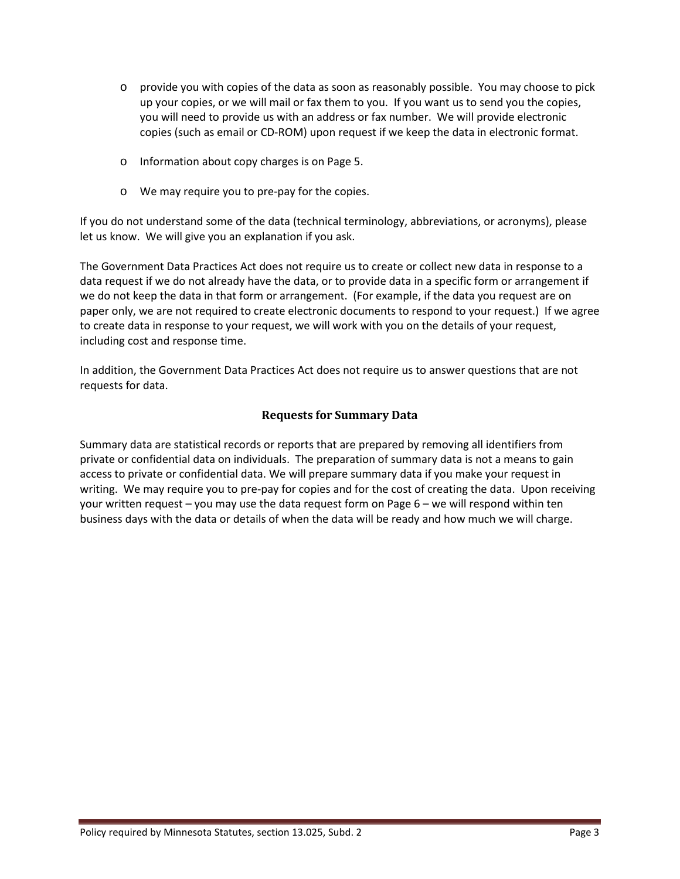- $\circ$  provide you with copies of the data as soon as reasonably possible. You may choose to pick up your copies, or we will mail or fax them to you. If you want us to send you the copies, you will need to provide us with an address or fax number. We will provide electronic copies (such as email or CD-ROM) upon request if we keep the data in electronic format.
- o Information about copy charges is on Page 5.
- o We may require you to pre-pay for the copies.

If you do not understand some of the data (technical terminology, abbreviations, or acronyms), please let us know. We will give you an explanation if you ask.

The Government Data Practices Act does not require us to create or collect new data in response to a data request if we do not already have the data, or to provide data in a specific form or arrangement if we do not keep the data in that form or arrangement. (For example, if the data you request are on paper only, we are not required to create electronic documents to respond to your request.) If we agree to create data in response to your request, we will work with you on the details of your request, including cost and response time.

In addition, the Government Data Practices Act does not require us to answer questions that are not requests for data.

# **Requests for Summary Data**

Summary data are statistical records or reports that are prepared by removing all identifiers from private or confidential data on individuals. The preparation of summary data is not a means to gain access to private or confidential data. We will prepare summary data if you make your request in writing. We may require you to pre-pay for copies and for the cost of creating the data. Upon receiving your written request – you may use the data request form on Page 6 – we will respond within ten business days with the data or details of when the data will be ready and how much we will charge.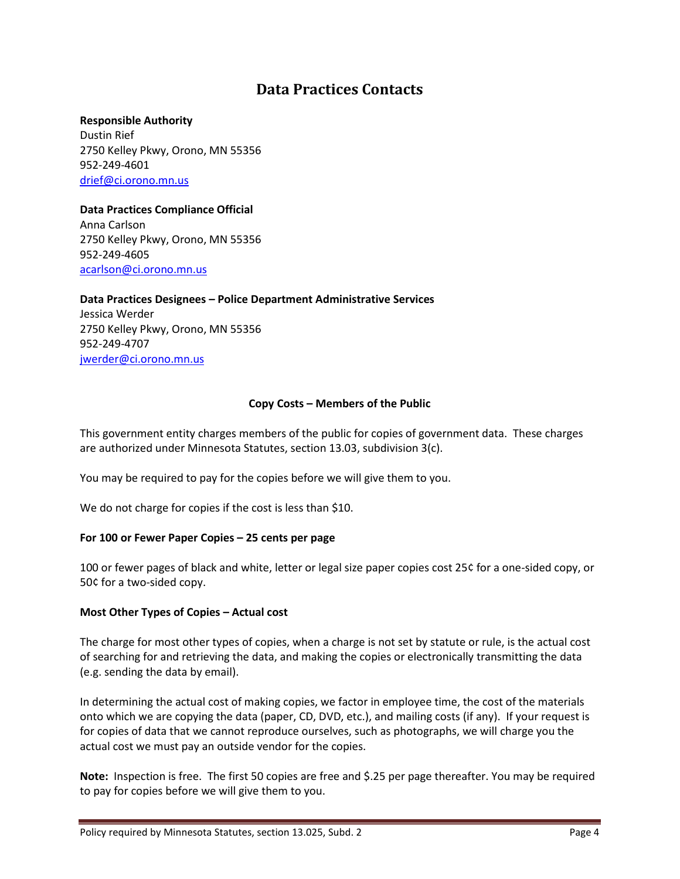# **Data Practices Contacts**

**Responsible Authority** Dustin Rief 2750 Kelley Pkwy, Orono, MN 55356 952-249-4601 [drief@ci.orono.mn.us](mailto:drief@ci.orono.mn.us)

### **Data Practices Compliance Official**

Anna Carlson 2750 Kelley Pkwy, Orono, MN 55356 952-249-4605 [acarlson@ci.orono.mn.us](mailto:dtiegs@ci.orono.mn.us)

**Data Practices Designees – Police Department Administrative Services** Jessica Werder 2750 Kelley Pkwy, Orono, MN 55356 952-249-4707 [jwerder@ci.orono.mn.us](mailto:tward@plymouthmn.gov)

#### **Copy Costs – Members of the Public**

This government entity charges members of the public for copies of government data. These charges are authorized under Minnesota Statutes, section 13.03, subdivision 3(c).

You may be required to pay for the copies before we will give them to you.

We do not charge for copies if the cost is less than \$10.

### **For 100 or Fewer Paper Copies – 25 cents per page**

100 or fewer pages of black and white, letter or legal size paper copies cost 25¢ for a one-sided copy, or 50¢ for a two-sided copy.

### **Most Other Types of Copies – Actual cost**

The charge for most other types of copies, when a charge is not set by statute or rule, is the actual cost of searching for and retrieving the data, and making the copies or electronically transmitting the data (e.g. sending the data by email).

In determining the actual cost of making copies, we factor in employee time, the cost of the materials onto which we are copying the data (paper, CD, DVD, etc.), and mailing costs (if any). If your request is for copies of data that we cannot reproduce ourselves, such as photographs, we will charge you the actual cost we must pay an outside vendor for the copies.

**Note:** Inspection is free. The first 50 copies are free and \$.25 per page thereafter. You may be required to pay for copies before we will give them to you.